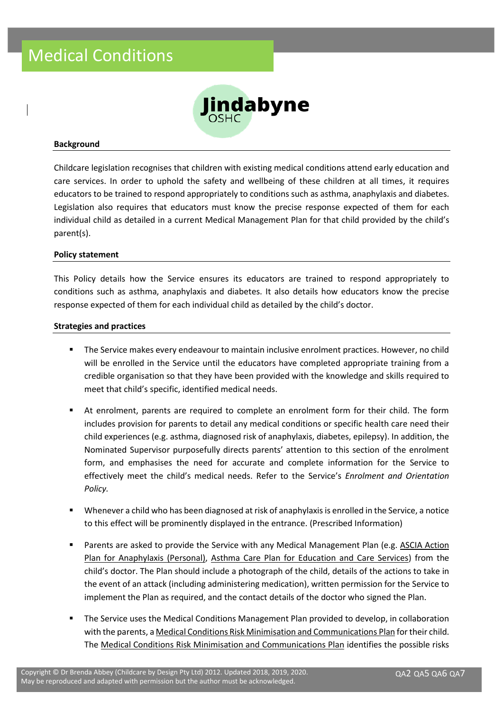

#### **Background**

Childcare legislation recognises that children with existing medical conditions attend early education and care services. In order to uphold the safety and wellbeing of these children at all times, it requires educators to be trained to respond appropriately to conditions such as asthma, anaphylaxis and diabetes. Legislation also requires that educators must know the precise response expected of them for each individual child as detailed in a current Medical Management Plan for that child provided by the child's parent(s).

#### **Policy statement**

This Policy details how the Service ensures its educators are trained to respond appropriately to conditions such as asthma, anaphylaxis and diabetes. It also details how educators know the precise response expected of them for each individual child as detailed by the child's doctor.

#### **Strategies and practices**

- The Service makes every endeavour to maintain inclusive enrolment practices. However, no child will be enrolled in the Service until the educators have completed appropriate training from a credible organisation so that they have been provided with the knowledge and skills required to meet that child's specific, identified medical needs.
- At enrolment, parents are required to complete an enrolment form for their child. The form includes provision for parents to detail any medical conditions or specific health care need their child experiences (e.g. asthma, diagnosed risk of anaphylaxis, diabetes, epilepsy). In addition, the Nominated Supervisor purposefully directs parents' attention to this section of the enrolment form, and emphasises the need for accurate and complete information for the Service to effectively meet the child's medical needs. Refer to the Service's *Enrolment and Orientation Policy.*
- Whenever a child who has been diagnosed at risk of anaphylaxis is enrolled in the Service, a notice to this effect will be prominently displayed in the entrance. (Prescribed Information)
- Parents are asked to provide the Service with any Medical Management Plan (e.g. ASCIA Action Plan for Anaphylaxis (Personal), Asthma Care Plan for Education and Care Services) from the child's doctor. The Plan should include a photograph of the child, details of the actions to take in the event of an attack (including administering medication), written permission for the Service to implement the Plan as required, and the contact details of the doctor who signed the Plan.
- The Service uses the Medical Conditions Management Plan provided to develop, in collaboration with the parents, a Medical Conditions Risk Minimisation and Communications Plan for their child. The Medical Conditions Risk Minimisation and Communications Plan identifies the possible risks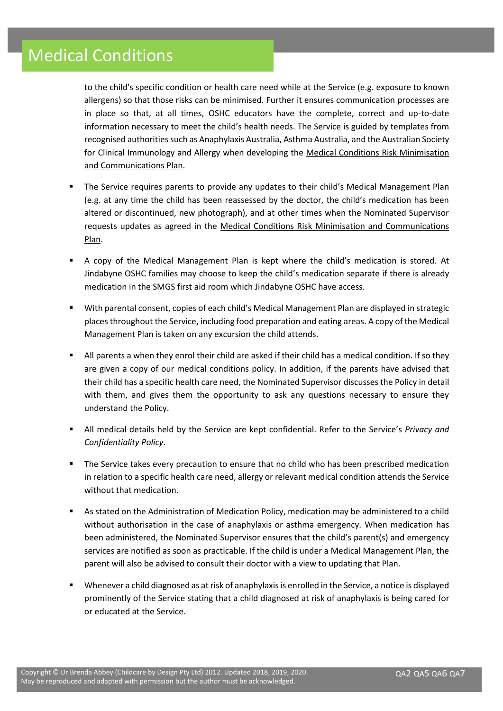to the child's specific condition or health care need while at the Service (e.g. exposure to known allergens) so that those risks can be minimised. Further it ensures communication processes are in place so that, at all times, OSHC educators have the complete, correct and up-to-date information necessary to meet the child's health needs. The Service is guided by templates from recognised authorities such as Anaphylaxis Australia, Asthma Australia, and the Australian Society for Clinical Immunology and Allergy when developing the Medical Conditions Risk Minimisation and Communications Plan.

- The Service requires parents to provide any updates to their child's Medical Management Plan (e.g. at any time the child has been reassessed by the doctor, the child's medication has been altered or discontinued, new photograph), and at other times when the Nominated Supervisor requests updates as agreed in the Medical Conditions Risk Minimisation and Communications Plan.
- A copy of the Medical Management Plan is kept where the child's medication is stored. At Jindabyne OSHC families may choose to keep the child's medication separate if there is already medication in the SMGS first aid room which Jindabyne OSHC have access.
- With parental consent, copies of each child's Medical Management Plan are displayed in strategic places throughout the Service, including food preparation and eating areas. A copy of the Medical Management Plan is taken on any excursion the child attends.
- All parents a when they enrol their child are asked if their child has a medical condition. If so they are given a copy of our medical conditions policy. In addition, if the parents have advised that their child has a specific health care need, the Nominated Supervisor discusses the Policy in detail with them, and gives them the opportunity to ask any questions necessary to ensure they understand the Policy.
- All medical details held by the Service are kept confidential. Refer to the Service's *Privacy and Confidentiality Policy*.
- The Service takes every precaution to ensure that no child who has been prescribed medication in relation to a specific health care need, allergy or relevant medical condition attends the Service without that medication.
- As stated on the Administration of Medication Policy, medication may be administered to a child without authorisation in the case of anaphylaxis or asthma emergency. When medication has been administered, the Nominated Supervisor ensures that the child's parent(s) and emergency services are notified as soon as practicable. If the child is under a Medical Management Plan, the parent will also be advised to consult their doctor with a view to updating that Plan.
- Whenever a child diagnosed as at risk of anaphylaxis is enrolled in the Service, a notice is displayed prominently of the Service stating that a child diagnosed at risk of anaphylaxis is being cared for or educated at the Service.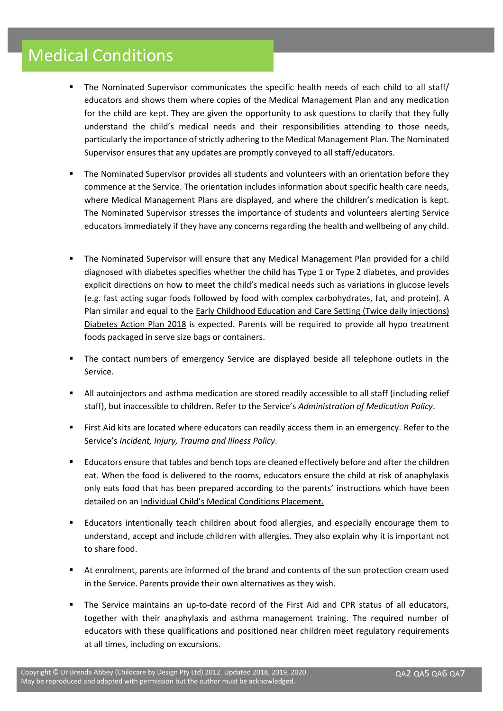- The Nominated Supervisor communicates the specific health needs of each child to all staff/ educators and shows them where copies of the Medical Management Plan and any medication for the child are kept. They are given the opportunity to ask questions to clarify that they fully understand the child's medical needs and their responsibilities attending to those needs, particularly the importance of strictly adhering to the Medical Management Plan. The Nominated Supervisor ensures that any updates are promptly conveyed to all staff/educators.
- The Nominated Supervisor provides all students and volunteers with an orientation before they commence at the Service. The orientation includes information about specific health care needs, where Medical Management Plans are displayed, and where the children's medication is kept. The Nominated Supervisor stresses the importance of students and volunteers alerting Service educators immediately if they have any concerns regarding the health and wellbeing of any child.
- The Nominated Supervisor will ensure that any Medical Management Plan provided for a child diagnosed with diabetes specifies whether the child has Type 1 or Type 2 diabetes, and provides explicit directions on how to meet the child's medical needs such as variations in glucose levels (e.g. fast acting sugar foods followed by food with complex carbohydrates, fat, and protein). A Plan similar and equal to the Early Childhood Education and Care Setting (Twice daily injections) Diabetes Action Plan 2018 is expected. Parents will be required to provide all hypo treatment foods packaged in serve size bags or containers.
- The contact numbers of emergency Service are displayed beside all telephone outlets in the Service.
- All autoinjectors and asthma medication are stored readily accessible to all staff (including relief staff), but inaccessible to children. Refer to the Service's *Administration of Medication Policy*.
- First Aid kits are located where educators can readily access them in an emergency. Refer to the Service's *Incident, Injury, Trauma and Illness Policy*.
- Educators ensure that tables and bench tops are cleaned effectively before and after the children eat. When the food is delivered to the rooms, educators ensure the child at risk of anaphylaxis only eats food that has been prepared according to the parents' instructions which have been detailed on an Individual Child's Medical Conditions Placement.
- Educators intentionally teach children about food allergies, and especially encourage them to understand, accept and include children with allergies. They also explain why it is important not to share food.
- At enrolment, parents are informed of the brand and contents of the sun protection cream used in the Service. Parents provide their own alternatives as they wish.
- The Service maintains an up-to-date record of the First Aid and CPR status of all educators, together with their anaphylaxis and asthma management training. The required number of educators with these qualifications and positioned near children meet regulatory requirements at all times, including on excursions.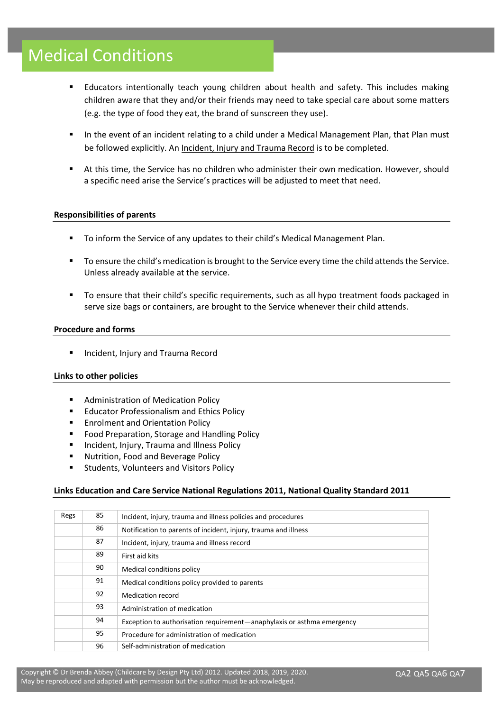- **■** Educators intentionally teach young children about health and safety. This includes making children aware that they and/or their friends may need to take special care about some matters (e.g. the type of food they eat, the brand of sunscreen they use).
- In the event of an incident relating to a child under a Medical Management Plan, that Plan must be followed explicitly. An Incident, Injury and Trauma Record is to be completed.
- At this time, the Service has no children who administer their own medication. However, should a specific need arise the Service's practices will be adjusted to meet that need.

#### **Responsibilities of parents**

- To inform the Service of any updates to their child's Medical Management Plan.
- To ensure the child's medication is brought to the Service every time the child attends the Service. Unless already available at the service.
- To ensure that their child's specific requirements, such as all hypo treatment foods packaged in serve size bags or containers, are brought to the Service whenever their child attends.

#### **Procedure and forms**

■ Incident, Injury and Trauma Record

#### **Links to other policies**

- Administration of Medication Policy
- Educator Professionalism and Ethics Policy
- **Enrolment and Orientation Policy**
- Food Preparation, Storage and Handling Policy
- Incident, Injury, Trauma and Illness Policy
- Nutrition, Food and Beverage Policy
- Students, Volunteers and Visitors Policy

#### **Links Education and Care Service National Regulations 2011, National Quality Standard 2011**

| Regs | 85 | Incident, injury, trauma and illness policies and procedures           |  |  |  |
|------|----|------------------------------------------------------------------------|--|--|--|
|      | 86 | Notification to parents of incident, injury, trauma and illness        |  |  |  |
|      | 87 | Incident, injury, trauma and illness record                            |  |  |  |
|      | 89 | First aid kits                                                         |  |  |  |
|      | 90 | Medical conditions policy                                              |  |  |  |
|      | 91 | Medical conditions policy provided to parents                          |  |  |  |
|      | 92 | Medication record                                                      |  |  |  |
|      | 93 | Administration of medication                                           |  |  |  |
|      | 94 | Exception to authorisation requirement—anaphylaxis or asthma emergency |  |  |  |
|      | 95 | Procedure for administration of medication                             |  |  |  |
|      | 96 | Self-administration of medication                                      |  |  |  |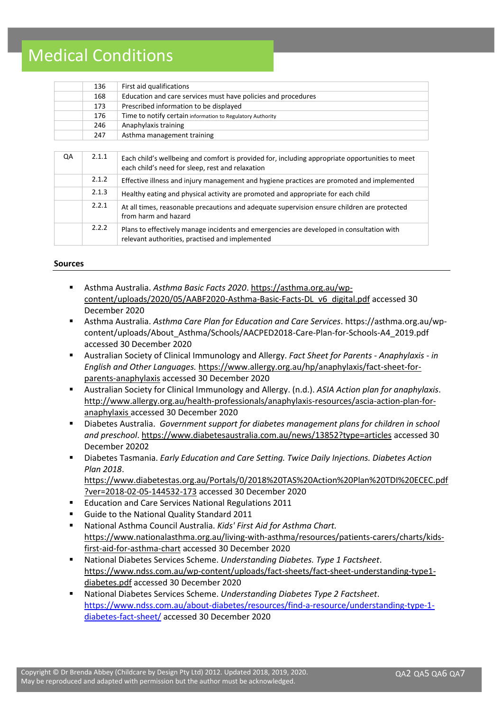| 136 | First aid qualifications                                      |
|-----|---------------------------------------------------------------|
| 168 | Education and care services must have policies and procedures |
| 173 | Prescribed information to be displayed                        |
| 176 | Time to notify certain information to Regulatory Authority    |
| 246 | Anaphylaxis training                                          |
| 247 | Asthma management training                                    |
|     |                                                               |

| QA | 2.1.1 | Each child's wellbeing and comfort is provided for, including appropriate opportunities to meet<br>each child's need for sleep, rest and relaxation |
|----|-------|-----------------------------------------------------------------------------------------------------------------------------------------------------|
|    | 2.1.2 | Effective illness and injury management and hygiene practices are promoted and implemented                                                          |
|    | 2.1.3 | Healthy eating and physical activity are promoted and appropriate for each child                                                                    |
|    | 2.2.1 | At all times, reasonable precautions and adequate supervision ensure children are protected<br>from harm and hazard                                 |
|    | 2.2.2 | Plans to effectively manage incidents and emergencies are developed in consultation with<br>relevant authorities, practised and implemented         |

#### **Sources**

- Asthma Australia. Asthma Basic Facts 2020. [https://asthma.org.au/wp](https://asthma.org.au/wp-content/uploads/2020/05/AABF2020-Asthma-Basic-Facts-DL_v6_digital.pdf)[content/uploads/2020/05/AABF2020-Asthma-Basic-Facts-DL\\_v6\\_digital.pdf](https://asthma.org.au/wp-content/uploads/2020/05/AABF2020-Asthma-Basic-Facts-DL_v6_digital.pdf) accessed 30 December 2020
- Asthma Australia. *Asthma Care Plan for Education and Care Services*. https://asthma.org.au/wpcontent/uploads/About\_Asthma/Schools/AACPED2018-Care-Plan-for-Schools-A4\_2019.pdf accessed 30 December 2020
- Australian Society of Clinical Immunology and Allergy. *Fact Sheet for Parents - Anaphylaxis - in English and Other Languages.* [https://www.allergy.org.au/hp/anaphylaxis/fact-sheet-for](https://www.allergy.org.au/hp/anaphylaxis/fact-sheet-for-parents-anaphylaxis)[parents-anaphylaxis](https://www.allergy.org.au/hp/anaphylaxis/fact-sheet-for-parents-anaphylaxis) accessed 30 December 2020
- Australian Society for Clinical Immunology and Allergy. (n.d.). *ASIA Action plan for anaphylaxis*. [http://www.allergy.org.au/health-professionals/anaphylaxis-resources/ascia-action-plan-for](http://www.allergy.org.au/health-professionals/anaphylaxis-resources/ascia-action-plan-for-anaphylaxis)[anaphylaxis a](http://www.allergy.org.au/health-professionals/anaphylaxis-resources/ascia-action-plan-for-anaphylaxis)ccessed 30 December 2020
- Diabetes Australia. *Government support for diabetes management plans for children in school and preschool*[. https://www.diabetesaustralia.com.au/news/13852?type=articles](https://www.diabetesaustralia.com.au/news/13852?type=articles) accessed 30 December 20202
- Diabetes Tasmania. *Early Education and Care Setting. Twice Daily Injections. Diabetes Action Plan 2018*. [https://www.diabetestas.org.au/Portals/0/2018%20TAS%20Action%20Plan%20TDI%20ECEC.pdf](https://www.diabetestas.org.au/Portals/0/2018%20TAS%20Action%20Plan%20TDI%20ECEC.pdf?ver=2018-02-05-144532-173)
- [?ver=2018-02-05-144532-173](https://www.diabetestas.org.au/Portals/0/2018%20TAS%20Action%20Plan%20TDI%20ECEC.pdf?ver=2018-02-05-144532-173) accessed 30 December 2020 Education and Care Services National Regulations 2011
- Guide to the National Quality Standard 2011
- National Asthma Council Australia. *Kids' First Aid for Asthma Chart.*  [https://www.nationalasthma.org.au/living-with-asthma/resources/patients-carers/charts/kids](https://www.nationalasthma.org.au/living-with-asthma/resources/patients-carers/charts/kids-first-aid-for-asthma-chart)[first-aid-for-asthma-chart](https://www.nationalasthma.org.au/living-with-asthma/resources/patients-carers/charts/kids-first-aid-for-asthma-chart) accessed 30 December 2020
- National Diabetes Services Scheme. *Understanding Diabetes. Type 1 Factsheet*. [https://www.ndss.com.au/wp-content/uploads/fact-sheets/fact-sheet-understanding-type1](https://www.ndss.com.au/wp-content/uploads/fact-sheets/fact-sheet-understanding-type1-diabetes.pdf) [diabetes.pdf](https://www.ndss.com.au/wp-content/uploads/fact-sheets/fact-sheet-understanding-type1-diabetes.pdf) accessed 30 December 2020
- National Diabetes Services Scheme. *Understanding Diabetes Type 2 Factsheet*. [https://www.ndss.com.au/about-diabetes/resources/find-a-resource/understanding-type-1](https://www.ndss.com.au/about-diabetes/resources/find-a-resource/understanding-type-1-diabetes-fact-sheet/) [diabetes-fact-sheet/](https://www.ndss.com.au/about-diabetes/resources/find-a-resource/understanding-type-1-diabetes-fact-sheet/) accessed 30 December 2020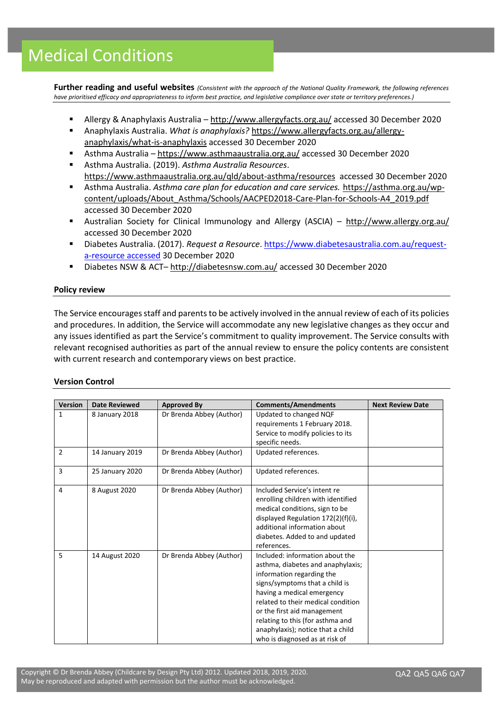**Further reading and useful websites** *(Consistent with the approach of the National Quality Framework, the following references have prioritised efficacy and appropriateness to inform best practice, and legislative compliance over state or territory preferences.)*

- Allergy & Anaphylaxis Australia <http://www.allergyfacts.org.au/> accessed 30 December 2020
- Anaphylaxis Australia. *What is anaphylaxis?* [https://www.allergyfacts.org.au/allergy](https://www.allergyfacts.org.au/allergy-anaphylaxis/what-is-anaphylaxis)[anaphylaxis/what-is-anaphylaxis](https://www.allergyfacts.org.au/allergy-anaphylaxis/what-is-anaphylaxis) accessed 30 December 2020
- Asthma Australia <https://www.asthmaaustralia.org.au/> accessed 30 December 2020
- Asthma Australia. (2019). *Asthma Australia Resources*. <https://www.asthmaaustralia.org.au/qld/about-asthma/resources>accessed 30 December 2020
- Asthma Australia. *Asthma care plan for education and care services.* [https://asthma.org.au/wp](https://asthma.org.au/wp-content/uploads/About_Asthma/Schools/AACPED2018-Care-Plan-for-Schools-A4_2019.pdf)[content/uploads/About\\_Asthma/Schools/AACPED2018-Care-Plan-for-Schools-A4\\_2019.pdf](https://asthma.org.au/wp-content/uploads/About_Asthma/Schools/AACPED2018-Care-Plan-for-Schools-A4_2019.pdf)  accessed 30 December 2020
- Australian Society for Clinical Immunology and Allergy (ASCIA) <http://www.allergy.org.au/> accessed 30 December 2020
- Diabetes Australia. (2017). *Request a Resource*[. https://www.diabetesaustralia.com.au/request](https://www.diabetesaustralia.com.au/request-a-resource%20accessed%2030%20December%202020)[a-resource accessed](https://www.diabetesaustralia.com.au/request-a-resource%20accessed%2030%20December%202020) 30 December 2020
- Diabetes NSW & ACT– <http://diabetesnsw.com.au/> accessed 30 December 2020

### **Policy review**

The Service encourages staff and parents to be actively involved in the annual review of each of its policies and procedures. In addition, the Service will accommodate any new legislative changes as they occur and any issues identified as part the Service's commitment to quality improvement. The Service consults with relevant recognised authorities as part of the annual review to ensure the policy contents are consistent with current research and contemporary views on best practice.

### **Version Control**

| <b>Version</b> | <b>Date Reviewed</b> | <b>Approved By</b>       | <b>Comments/Amendments</b>                                                                                                                                                                                                                                                                                                                        | <b>Next Review Date</b> |
|----------------|----------------------|--------------------------|---------------------------------------------------------------------------------------------------------------------------------------------------------------------------------------------------------------------------------------------------------------------------------------------------------------------------------------------------|-------------------------|
| 1              | 8 January 2018       | Dr Brenda Abbey (Author) | Updated to changed NQF<br>requirements 1 February 2018.<br>Service to modify policies to its<br>specific needs.                                                                                                                                                                                                                                   |                         |
| $\overline{2}$ | 14 January 2019      | Dr Brenda Abbey (Author) | Updated references.                                                                                                                                                                                                                                                                                                                               |                         |
| 3              | 25 January 2020      | Dr Brenda Abbey (Author) | Updated references.                                                                                                                                                                                                                                                                                                                               |                         |
| 4              | 8 August 2020        | Dr Brenda Abbey (Author) | Included Service's intent re<br>enrolling children with identified<br>medical conditions, sign to be<br>displayed Regulation 172(2)(f)(i),<br>additional information about<br>diabetes. Added to and updated<br>references.                                                                                                                       |                         |
| 5              | 14 August 2020       | Dr Brenda Abbey (Author) | Included: information about the<br>asthma, diabetes and anaphylaxis;<br>information regarding the<br>signs/symptoms that a child is<br>having a medical emergency<br>related to their medical condition<br>or the first aid management<br>relating to this (for asthma and<br>anaphylaxis); notice that a child<br>who is diagnosed as at risk of |                         |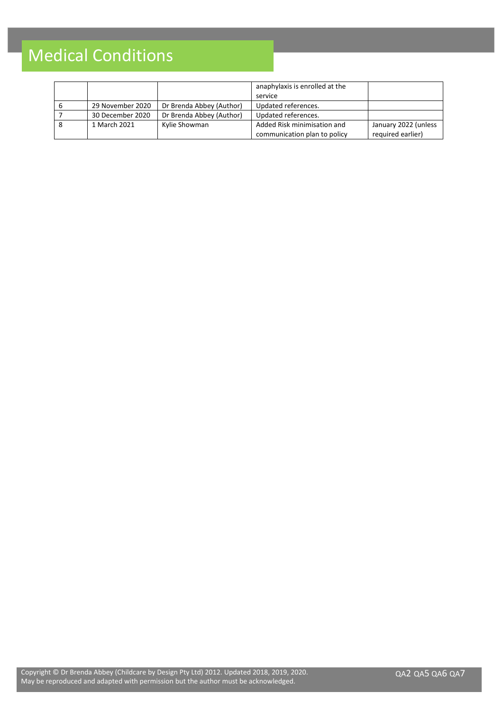|                  |                          | anaphylaxis is enrolled at the |                      |
|------------------|--------------------------|--------------------------------|----------------------|
|                  |                          | service                        |                      |
| 29 November 2020 | Dr Brenda Abbey (Author) | Updated references.            |                      |
| 30 December 2020 | Dr Brenda Abbey (Author) | Updated references.            |                      |
| 1 March 2021     | Kylie Showman            | Added Risk minimisation and    | January 2022 (unless |
|                  |                          | communication plan to policy   | required earlier)    |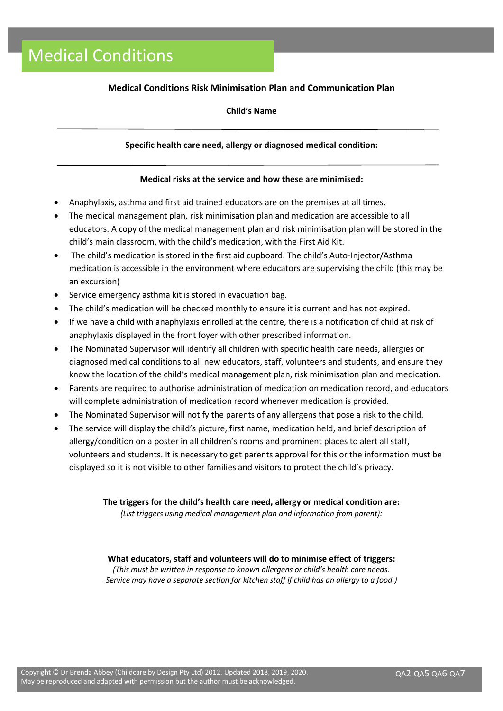## **Medical Conditions Risk Minimisation Plan and Communication Plan**

## **Child's Name**

## **Specific health care need, allergy or diagnosed medical condition:**

#### **Medical risks at the service and how these are minimised:**

- Anaphylaxis, asthma and first aid trained educators are on the premises at all times.
- The medical management plan, risk minimisation plan and medication are accessible to all educators. A copy of the medical management plan and risk minimisation plan will be stored in the child's main classroom, with the child's medication, with the First Aid Kit.
- The child's medication is stored in the first aid cupboard. The child's Auto-Injector/Asthma medication is accessible in the environment where educators are supervising the child (this may be an excursion)
- Service emergency asthma kit is stored in evacuation bag.
- The child's medication will be checked monthly to ensure it is current and has not expired.
- If we have a child with anaphylaxis enrolled at the centre, there is a notification of child at risk of anaphylaxis displayed in the front foyer with other prescribed information.
- The Nominated Supervisor will identify all children with specific health care needs, allergies or diagnosed medical conditions to all new educators, staff, volunteers and students, and ensure they know the location of the child's medical management plan, risk minimisation plan and medication.
- Parents are required to authorise administration of medication on medication record, and educators will complete administration of medication record whenever medication is provided.
- The Nominated Supervisor will notify the parents of any allergens that pose a risk to the child.
- The service will display the child's picture, first name, medication held, and brief description of allergy/condition on a poster in all children's rooms and prominent places to alert all staff, volunteers and students. It is necessary to get parents approval for this or the information must be displayed so it is not visible to other families and visitors to protect the child's privacy.

**The triggers for the child's health care need, allergy or medical condition are:** *(List triggers using medical management plan and information from parent):*

### **What educators, staff and volunteers will do to minimise effect of triggers:**

*(This must be written in response to known allergens or child's health care needs. Service may have a separate section for kitchen staff if child has an allergy to a food.)*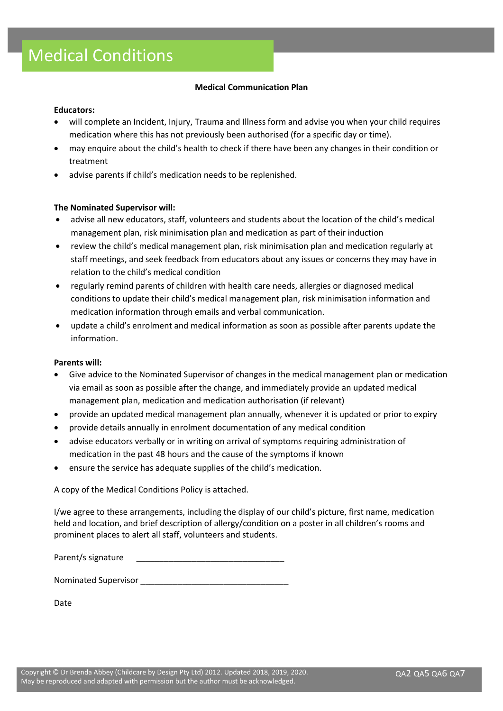## **Medical Communication Plan**

### **Educators:**

- will complete an Incident, Injury, Trauma and Illness form and advise you when your child requires medication where this has not previously been authorised (for a specific day or time).
- may enquire about the child's health to check if there have been any changes in their condition or treatment
- advise parents if child's medication needs to be replenished.

## **The Nominated Supervisor will:**

- advise all new educators, staff, volunteers and students about the location of the child's medical management plan, risk minimisation plan and medication as part of their induction
- review the child's medical management plan, risk minimisation plan and medication regularly at staff meetings, and seek feedback from educators about any issues or concerns they may have in relation to the child's medical condition
- regularly remind parents of children with health care needs, allergies or diagnosed medical conditions to update their child's medical management plan, risk minimisation information and medication information through emails and verbal communication.
- update a child's enrolment and medical information as soon as possible after parents update the information.

### **Parents will:**

- Give advice to the Nominated Supervisor of changes in the medical management plan or medication via email as soon as possible after the change, and immediately provide an updated medical management plan, medication and medication authorisation (if relevant)
- provide an updated medical management plan annually, whenever it is updated or prior to expiry
- provide details annually in enrolment documentation of any medical condition
- advise educators verbally or in writing on arrival of symptoms requiring administration of medication in the past 48 hours and the cause of the symptoms if known
- ensure the service has adequate supplies of the child's medication.

A copy of the Medical Conditions Policy is attached.

I/we agree to these arrangements, including the display of our child's picture, first name, medication held and location, and brief description of allergy/condition on a poster in all children's rooms and prominent places to alert all staff, volunteers and students.

Parent/s signature

Nominated Supervisor **Nominated** Supervisor

Date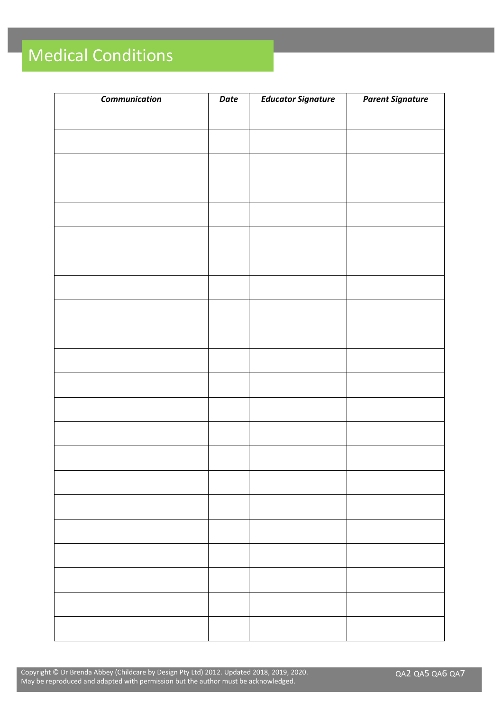| <b>Communication</b> | Date | <b>Educator Signature</b> | <b>Parent Signature</b> |
|----------------------|------|---------------------------|-------------------------|
|                      |      |                           |                         |
|                      |      |                           |                         |
|                      |      |                           |                         |
|                      |      |                           |                         |
|                      |      |                           |                         |
|                      |      |                           |                         |
|                      |      |                           |                         |
|                      |      |                           |                         |
|                      |      |                           |                         |
|                      |      |                           |                         |
|                      |      |                           |                         |
|                      |      |                           |                         |
|                      |      |                           |                         |
|                      |      |                           |                         |
|                      |      |                           |                         |
|                      |      |                           |                         |
|                      |      |                           |                         |
|                      |      |                           |                         |
|                      |      |                           |                         |
|                      |      |                           |                         |
|                      |      |                           |                         |
|                      |      |                           |                         |
|                      |      |                           |                         |

Copyright © Dr Brenda Abbey (Childcare by Design Pty Ltd) 2012. Updated 2018, 2019, 2020. May be reproduced and adapted with permission but the author must be acknowledged.